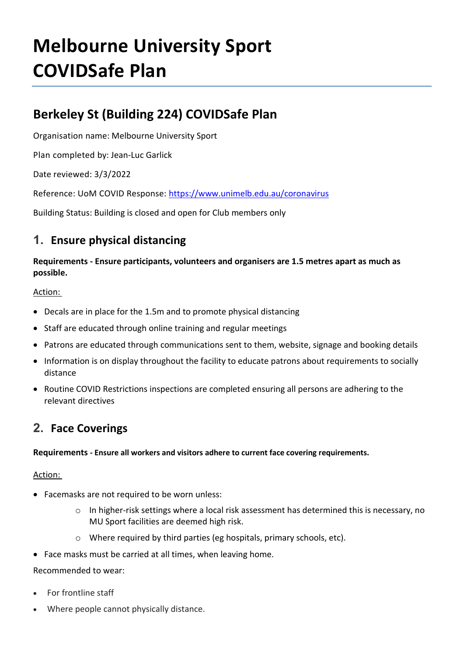# **Melbourne University Sport COVIDSafe Plan**

## **Berkeley St (Building 224) COVIDSafe Plan**

Organisation name: Melbourne University Sport

Plan completed by: Jean-Luc Garlick

Date reviewed: 3/3/2022

Reference: UoM COVID Response:<https://www.unimelb.edu.au/coronavirus>

Building Status: Building is closed and open for Club members only

### **1. Ensure physical distancing**

**Requirements - Ensure participants, volunteers and organisers are 1.5 metres apart as much as possible.**

### Action:

- Decals are in place for the 1.5m and to promote physical distancing
- Staff are educated through online training and regular meetings
- Patrons are educated through communications sent to them, website, signage and booking details
- Information is on display throughout the facility to educate patrons about requirements to socially distance
- Routine COVID Restrictions inspections are completed ensuring all persons are adhering to the relevant directives

### **2. Face Coverings**

### **Requirements - Ensure all workers and visitors adhere to current face covering requirements.**

### Action:

- Facemasks are not required to be worn unless:
	- o In higher-risk settings where a local risk assessment has determined this is necessary, no MU Sport facilities are deemed high risk.
	- o Where required by third parties (eg hospitals, primary schools, etc).
- Face masks must be carried at all times, when leaving home.

### Recommended to wear:

- For frontline staff
- Where people cannot physically distance.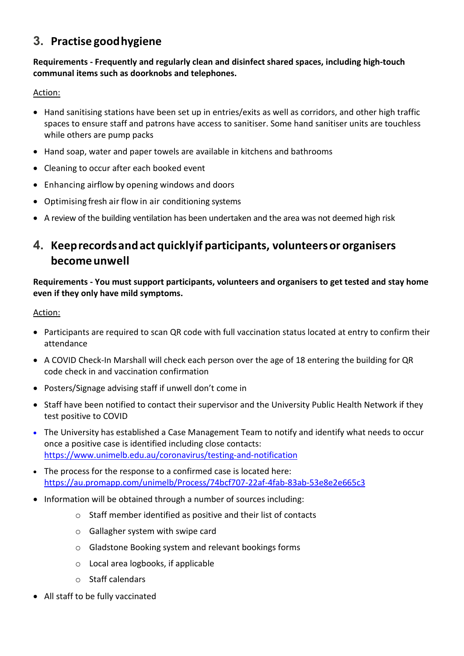### **3. Practise goodhygiene**

### **Requirements - Frequently and regularly clean and disinfect shared spaces, including high-touch communal items such as doorknobs and telephones.**

### Action:

- Hand sanitising stations have been set up in entries/exits as well as corridors, and other high traffic spaces to ensure staff and patrons have access to sanitiser. Some hand sanitiser units are touchless while others are pump packs
- Hand soap, water and paper towels are available in kitchens and bathrooms
- Cleaning to occur after each booked event
- Enhancing airflow by opening windows and doors
- Optimising fresh air flow in air conditioning systems
- A review of the building ventilation has been undertaken and the area was not deemed high risk

### **4. Keeprecordsandact quicklyif participants, volunteersor organisers becomeunwell**

**Requirements - You must support participants, volunteers and organisers to get tested and stay home even if they only have mild symptoms.**

### Action:

- Participants are required to scan QR code with full vaccination status located at entry to confirm their attendance
- A COVID Check-In Marshall will check each person over the age of 18 entering the building for QR code check in and vaccination confirmation
- Posters/Signage advising staff if unwell don't come in
- Staff have been notified to contact their supervisor and the University Public Health Network if they test positive to COVID
- The University has established a Case Management Team to notify and identify what needs to occur once a positive case is identified including close contacts: <https://www.unimelb.edu.au/coronavirus/testing-and-notification>
- The process for the response to a confirmed case is located here: <https://au.promapp.com/unimelb/Process/74bcf707-22af-4fab-83ab-53e8e2e665c3>
- Information will be obtained through a number of sources including:
	- o Staff member identified as positive and their list of contacts
	- o Gallagher system with swipe card
	- o Gladstone Booking system and relevant bookings forms
	- o Local area logbooks, if applicable
	- o Staff calendars
- All staff to be fully vaccinated